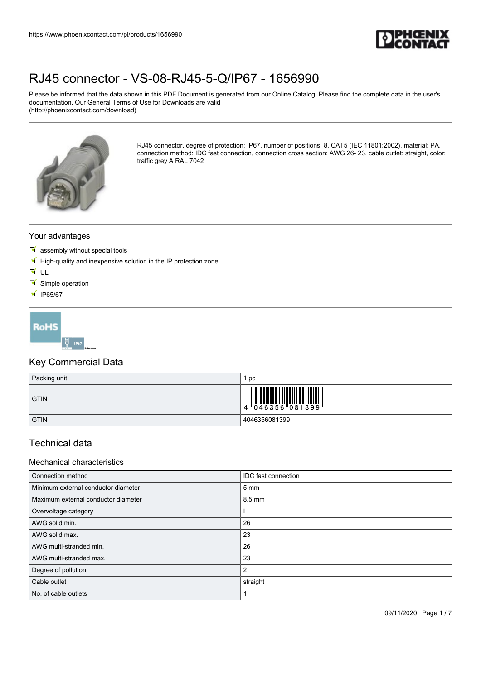

Please be informed that the data shown in this PDF Document is generated from our Online Catalog. Please find the complete data in the user's documentation. Our General Terms of Use for Downloads are valid (http://phoenixcontact.com/download)



RJ45 connector, degree of protection: IP67, number of positions: 8, CAT5 (IEC 11801:2002), material: PA, connection method: IDC fast connection, connection cross section: AWG 26- 23, cable outlet: straight, color: traffic grey A RAL 7042

## Your advantages

- $\blacksquare$  assembly without special tools
- $\blacksquare$  High-quality and inexpensive solution in the IP protection zone
- **M** UL
- $\blacksquare$  Simple operation
- **M** IP65/67



## Key Commercial Data

| Packing unit | pc                                                                                                         |
|--------------|------------------------------------------------------------------------------------------------------------|
| <b>GTIN</b>  | $\begin{array}{c} 1 & 0 & 0 & 0 \\ 0 & 0 & 4 & 6 & 3 & 5 & 6 \\ 0 & 0 & 0 & 0 & 0 & 3 & 3 & 9 \end{array}$ |
| <b>GTIN</b>  | 4046356081399                                                                                              |

## Technical data

### Mechanical characteristics

| Connection method                   | IDC fast connection |
|-------------------------------------|---------------------|
| Minimum external conductor diameter | $5 \, \text{mm}$    |
| Maximum external conductor diameter | 8.5 mm              |
| Overvoltage category                |                     |
| AWG solid min.                      | 26                  |
| AWG solid max.                      | 23                  |
| AWG multi-stranded min.             | 26                  |
| AWG multi-stranded max.             | 23                  |
| Degree of pollution                 | 2                   |
| Cable outlet                        | straight            |
| No. of cable outlets                |                     |

09/11/2020 Page 1 / 7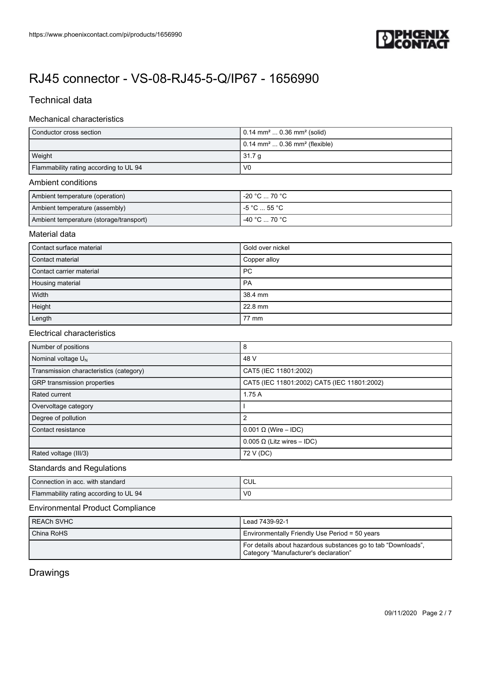

# Technical data

## Mechanical characteristics

| $\vert$ 0.14 mm <sup>2</sup> 0.36 mm <sup>2</sup> (solid)    |
|--------------------------------------------------------------|
| $\vert$ 0.14 mm <sup>2</sup> 0.36 mm <sup>2</sup> (flexible) |
| 31.7 <sub>q</sub>                                            |
| V <sub>0</sub>                                               |
|                                                              |

## Ambient conditions

| Ambient temperature (operation)         | 1 -20 °C … 70 °C . |
|-----------------------------------------|--------------------|
| Ambient temperature (assembly)          | i -5 °C … 55 °C ∶  |
| Ambient temperature (storage/transport) | -40 °C  70 °C      |

## Material data

| Contact surface material | Gold over nickel |
|--------------------------|------------------|
| Contact material         | Copper alloy     |
| Contact carrier material | <b>PC</b>        |
| Housing material         | PA               |
| Width                    | 38.4 mm          |
| Height                   | 22.8 mm          |
| Length                   | 77 mm            |

### Electrical characteristics

| Number of positions                     | 8                                           |
|-----------------------------------------|---------------------------------------------|
| Nominal voltage $U_N$                   | 48 V                                        |
| Transmission characteristics (category) | CAT5 (IEC 11801:2002)                       |
| GRP transmission properties             | CAT5 (IEC 11801:2002) CAT5 (IEC 11801:2002) |
| Rated current                           | 1.75A                                       |
| Overvoltage category                    |                                             |
| Degree of pollution                     | 2                                           |
| Contact resistance                      | $0.001 \Omega$ (Wire – IDC)                 |
|                                         | $0.005 \Omega$ (Litz wires – IDC)           |
| Rated voltage (III/3)                   | 72 V (DC)                                   |

### Standards and Regulations

| Connection in acc. with standard       | CUL            |
|----------------------------------------|----------------|
| Flammability rating according to UL 94 | V <sub>0</sub> |

## Environmental Product Compliance

| I REACh SVHC | Lead 7439-92-1                                                                                         |
|--------------|--------------------------------------------------------------------------------------------------------|
| China RoHS   | Environmentally Friendly Use Period = 50 years                                                         |
|              | For details about hazardous substances go to tab "Downloads",<br>Category "Manufacturer's declaration" |

## Drawings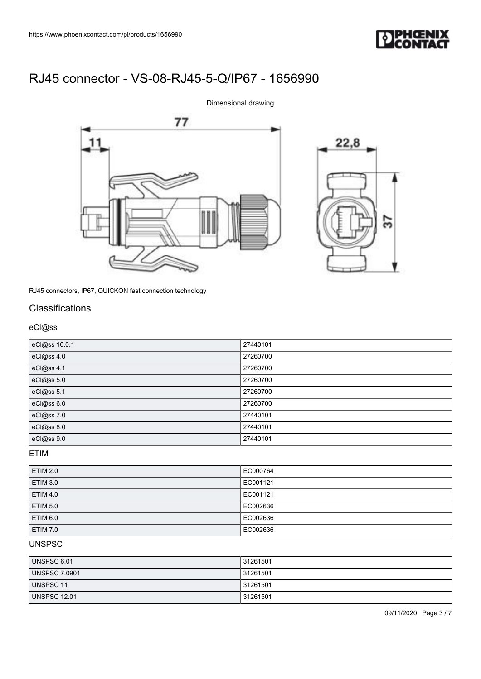

77 11



RJ45 connectors, IP67, QUICKON fast connection technology

## **Classifications**

### eCl@ss

| eCl@ss 10.0.1 | 27440101 |
|---------------|----------|
| eCl@ss 4.0    | 27260700 |
| eCl@ss 4.1    | 27260700 |
| eCl@ss 5.0    | 27260700 |
| eCl@ss 5.1    | 27260700 |
| eCl@ss 6.0    | 27260700 |
| eCl@ss 7.0    | 27440101 |
| eCl@ss 8.0    | 27440101 |
| eCl@ss 9.0    | 27440101 |

Dimensional drawing

ETIM

| <b>ETIM 2.0</b> | EC000764 |
|-----------------|----------|
| <b>ETIM 3.0</b> | EC001121 |
| <b>ETIM 4.0</b> | EC001121 |
| <b>ETIM 5.0</b> | EC002636 |
| <b>ETIM 6.0</b> | EC002636 |
| <b>ETIM 7.0</b> | EC002636 |

## UNSPSC

| UNSPSC 6.01          | 31261501 |
|----------------------|----------|
| <b>UNSPSC 7.0901</b> | 31261501 |
| UNSPSC 11            | 31261501 |
| <b>UNSPSC 12.01</b>  | 31261501 |

09/11/2020 Page 3 / 7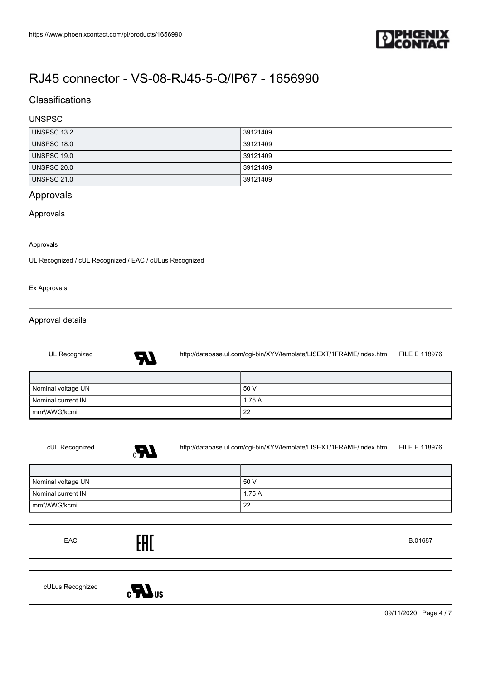

# **Classifications**

## UNSPSC

| UNSPSC 13.2        | 39121409 |
|--------------------|----------|
| <b>UNSPSC 18.0</b> | 39121409 |
| <b>UNSPSC 19.0</b> | 39121409 |
| UNSPSC 20.0        | 39121409 |
| <b>UNSPSC 21.0</b> | 39121409 |

# Approvals

### Approvals

### Approvals

UL Recognized / cUL Recognized / EAC / cULus Recognized

### Ex Approvals

 $\overline{1}$ 

## Approval details

| UL Recognized<br>A7        | http://database.ul.com/cgi-bin/XYV/template/LISEXT/1FRAME/index.htm |       | <b>FILE E 118976</b> |
|----------------------------|---------------------------------------------------------------------|-------|----------------------|
|                            |                                                                     |       |                      |
| Nominal voltage UN         |                                                                     | 50 V  |                      |
| Nominal current IN         |                                                                     | 1.75A |                      |
| Im <sup>2</sup> /AWG/kcmil |                                                                     | 22    |                      |

| cUL Recognized             | $\boldsymbol{M}$ | http://database.ul.com/cgi-bin/XYV/template/LISEXT/1FRAME/index.htm |       | <b>FILE E 118976</b> |
|----------------------------|------------------|---------------------------------------------------------------------|-------|----------------------|
|                            |                  |                                                                     |       |                      |
| Nominal voltage UN         |                  |                                                                     | 50 V  |                      |
| Nominal current IN         |                  |                                                                     | 1.75A |                      |
| mm <sup>2</sup> /AWG/kcmil |                  |                                                                     | 22    |                      |

| EAC | <b>COL</b><br><b>CUL</b> | B.01687 |
|-----|--------------------------|---------|
|     |                          |         |



09/11/2020 Page 4 / 7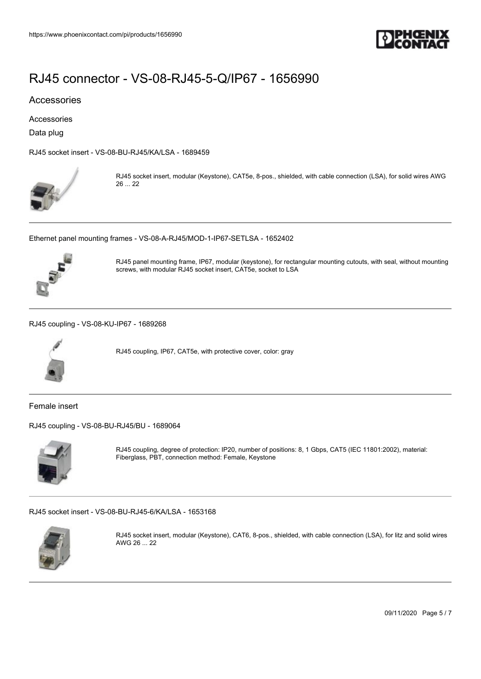

### Accessories

Accessories

Data plug

[RJ45 socket insert - VS-08-BU-RJ45/KA/LSA - 1689459](https://www.phoenixcontact.com/de/products/1689459)



RJ45 socket insert, modular (Keystone), CAT5e, 8-pos., shielded, with cable connection (LSA), for solid wires AWG 26 ... 22

[Ethernet panel mounting frames - VS-08-A-RJ45/MOD-1-IP67-SETLSA - 1652402](https://www.phoenixcontact.com/de/products/1652402)



RJ45 panel mounting frame, IP67, modular (keystone), for rectangular mounting cutouts, with seal, without mounting screws, with modular RJ45 socket insert, CAT5e, socket to LSA

[RJ45 coupling - VS-08-KU-IP67 - 1689268](https://www.phoenixcontact.com/de/products/1689268)



RJ45 coupling, IP67, CAT5e, with protective cover, color: gray

Female insert

[RJ45 coupling - VS-08-BU-RJ45/BU - 1689064](https://www.phoenixcontact.com/de/products/1689064)



RJ45 coupling, degree of protection: IP20, number of positions: 8, 1 Gbps, CAT5 (IEC 11801:2002), material: Fiberglass, PBT, connection method: Female, Keystone

[RJ45 socket insert - VS-08-BU-RJ45-6/KA/LSA - 1653168](https://www.phoenixcontact.com/de/products/1653168)



RJ45 socket insert, modular (Keystone), CAT6, 8-pos., shielded, with cable connection (LSA), for litz and solid wires AWG 26 ... 22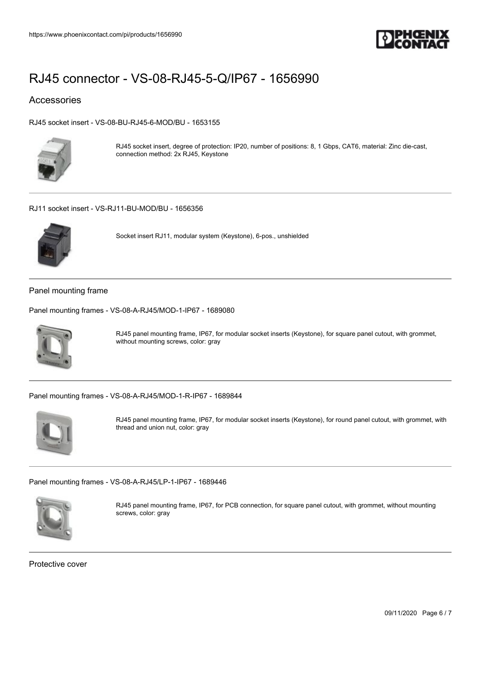

## Accessories

[RJ45 socket insert - VS-08-BU-RJ45-6-MOD/BU - 1653155](https://www.phoenixcontact.com/de/products/1653155)



RJ45 socket insert, degree of protection: IP20, number of positions: 8, 1 Gbps, CAT6, material: Zinc die-cast, connection method: 2x RJ45, Keystone

#### [RJ11 socket insert - VS-RJ11-BU-MOD/BU - 1656356](https://www.phoenixcontact.com/de/products/1656356)



Socket insert RJ11, modular system (Keystone), 6-pos., unshielded

### Panel mounting frame

[Panel mounting frames - VS-08-A-RJ45/MOD-1-IP67 - 1689080](https://www.phoenixcontact.com/de/products/1689080)



RJ45 panel mounting frame, IP67, for modular socket inserts (Keystone), for square panel cutout, with grommet, without mounting screws, color: gray

[Panel mounting frames - VS-08-A-RJ45/MOD-1-R-IP67 - 1689844](https://www.phoenixcontact.com/de/products/1689844)



RJ45 panel mounting frame, IP67, for modular socket inserts (Keystone), for round panel cutout, with grommet, with thread and union nut, color: gray

#### [Panel mounting frames - VS-08-A-RJ45/LP-1-IP67 - 1689446](https://www.phoenixcontact.com/de/products/1689446)



RJ45 panel mounting frame, IP67, for PCB connection, for square panel cutout, with grommet, without mounting screws, color: gray

Protective cover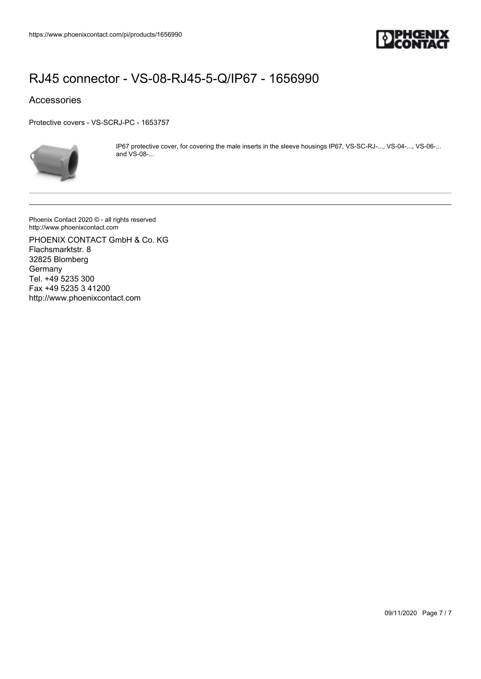

## Accessories

[Protective covers - VS-SCRJ-PC - 1653757](https://www.phoenixcontact.com/de/products/1653757)



IP67 protective cover, for covering the male inserts in the sleeve housings IP67, VS-SC-RJ-..., VS-04-..., VS-06-... and VS-08-...

Phoenix Contact 2020 © - all rights reserved http://www.phoenixcontact.com

PHOENIX CONTACT GmbH & Co. KG Flachsmarktstr. 8 32825 Blomberg **Germany** Tel. +49 5235 300 Fax +49 5235 3 41200 http://www.phoenixcontact.com